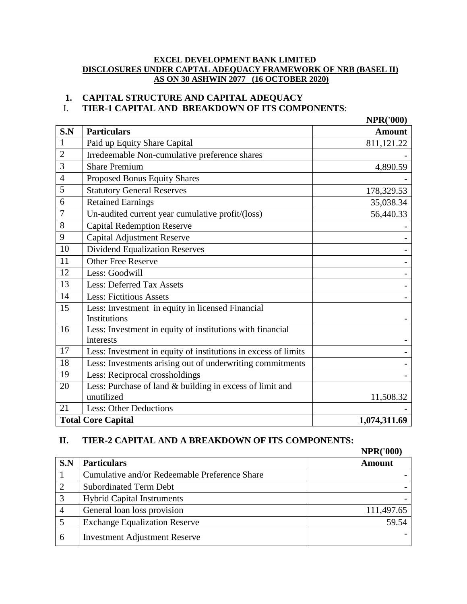#### **EXCEL DEVELOPMENT BANK LIMITED DISCLOSURES UNDER CAPTAL ADEQUACY FRAMEWORK OF NRB (BASEL II) AS ON 30 ASHWIN 2077 (16 OCTOBER 2020)**

# **1. CAPITAL STRUCTURE AND CAPITAL ADEQUACY**

# I. **TIER-1 CAPITAL AND BREAKDOWN OF ITS COMPONENTS**:

|                |                                                                | <b>NPR('000)</b> |
|----------------|----------------------------------------------------------------|------------------|
| S.N            | <b>Particulars</b>                                             | <b>Amount</b>    |
| $\mathbf{1}$   | Paid up Equity Share Capital                                   | 811,121.22       |
| $\overline{2}$ | Irredeemable Non-cumulative preference shares                  |                  |
| 3              | <b>Share Premium</b>                                           | 4,890.59         |
| $\overline{4}$ | Proposed Bonus Equity Shares                                   |                  |
| 5              | <b>Statutory General Reserves</b>                              | 178,329.53       |
| 6              | <b>Retained Earnings</b>                                       | 35,038.34        |
| $\overline{7}$ | Un-audited current year cumulative profit/(loss)               | 56,440.33        |
| 8              | <b>Capital Redemption Reserve</b>                              |                  |
| 9              | <b>Capital Adjustment Reserve</b>                              |                  |
| 10             | <b>Dividend Equalization Reserves</b>                          |                  |
| 11             | <b>Other Free Reserve</b>                                      |                  |
| 12             | Less: Goodwill                                                 |                  |
| 13             | <b>Less: Deferred Tax Assets</b>                               |                  |
| 14             | <b>Less: Fictitious Assets</b>                                 |                  |
| 15             | Less: Investment in equity in licensed Financial               |                  |
|                | Institutions                                                   |                  |
| 16             | Less: Investment in equity of institutions with financial      |                  |
|                | interests                                                      |                  |
| 17             | Less: Investment in equity of institutions in excess of limits |                  |
| 18             | Less: Investments arising out of underwriting commitments      |                  |
| 19             | Less: Reciprocal crossholdings                                 |                  |
| 20             | Less: Purchase of land & building in excess of limit and       |                  |
|                | unutilized                                                     | 11,508.32        |
| 21             | <b>Less: Other Deductions</b>                                  |                  |
|                | <b>Total Core Capital</b>                                      | 1,074,311.69     |

## **II. TIER-2 CAPITAL AND A BREAKDOWN OF ITS COMPONENTS:**

|                |                                               | <b>NPR('000)</b> |
|----------------|-----------------------------------------------|------------------|
| S.N            | <b>Particulars</b>                            | <b>Amount</b>    |
|                | Cumulative and/or Redeemable Preference Share |                  |
| $\overline{2}$ | <b>Subordinated Term Debt</b>                 |                  |
|                | <b>Hybrid Capital Instruments</b>             |                  |
| 4              | General loan loss provision                   | 111,497.65       |
|                | <b>Exchange Equalization Reserve</b>          | 59.54            |
| 6              | <b>Investment Adjustment Reserve</b>          |                  |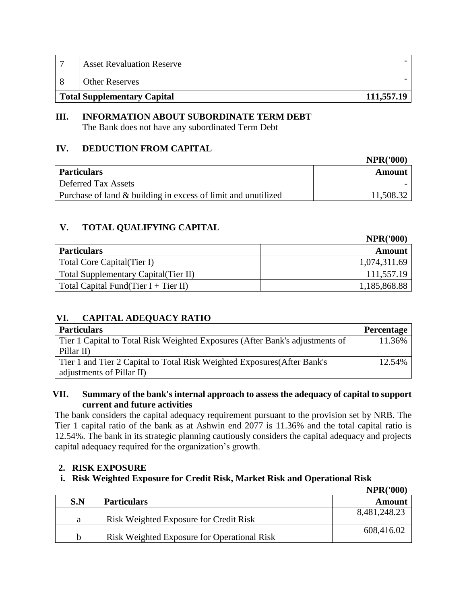| <b>Asset Revaluation Reserve</b>   |            |
|------------------------------------|------------|
| <b>Other Reserves</b>              |            |
| <b>Total Supplementary Capital</b> | 111,557.19 |

# **III. INFORMATION ABOUT SUBORDINATE TERM DEBT**

The Bank does not have any subordinated Term Debt

# **IV. DEDUCTION FROM CAPITAL**

|                                                               | <b>NPR('000)</b> |
|---------------------------------------------------------------|------------------|
| <b>Particulars</b>                                            | Amount           |
| <b>Deferred Tax Assets</b>                                    |                  |
| Purchase of land & building in excess of limit and unutilized | 11,508.32        |

# **V. TOTAL QUALIFYING CAPITAL**

|                                       | <b>NPR('000)</b> |
|---------------------------------------|------------------|
| <b>Particulars</b>                    | Amount           |
| Total Core Capital (Tier I)           | 1,074,311.69     |
| Total Supplementary Capital (Tier II) | 111,557.19       |
| Total Capital Fund(Tier I + Tier II)  | 1,185,868.88     |

# **VI. CAPITAL ADEQUACY RATIO**

| <b>Particulars</b>                                                           | <b>Percentage</b> |
|------------------------------------------------------------------------------|-------------------|
| Tier 1 Capital to Total Risk Weighted Exposures (After Bank's adjustments of | 11.36%            |
| Pillar II)                                                                   |                   |
| Tier 1 and Tier 2 Capital to Total Risk Weighted Exposures (After Bank's     | 12.54%            |
| adjustments of Pillar II)                                                    |                   |

## **VII. Summary of the bank's internal approach to assess the adequacy of capital to support current and future activities**

The bank considers the capital adequacy requirement pursuant to the provision set by NRB. The Tier 1 capital ratio of the bank as at Ashwin end 2077 is 11.36% and the total capital ratio is 12.54%. The bank in its strategic planning cautiously considers the capital adequacy and projects capital adequacy required for the organization's growth.

## **2. RISK EXPOSURE**

## **i. Risk Weighted Exposure for Credit Risk, Market Risk and Operational Risk**

|     |                                             | <b>NPR('000)</b> |
|-----|---------------------------------------------|------------------|
| S.N | <b>Particulars</b>                          | Amount           |
| a   | Risk Weighted Exposure for Credit Risk      | 8,481,248.23     |
| b   | Risk Weighted Exposure for Operational Risk | 608,416.02       |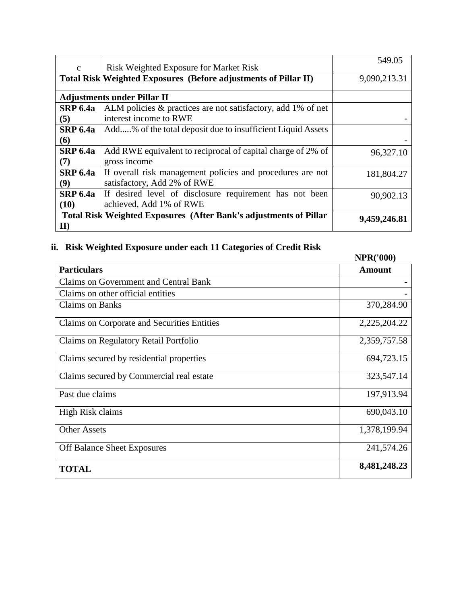|                 |                                                                           | 549.05       |  |  |
|-----------------|---------------------------------------------------------------------------|--------------|--|--|
| $\mathbf{c}$    | Risk Weighted Exposure for Market Risk                                    |              |  |  |
|                 | Total Risk Weighted Exposures (Before adjustments of Pillar II)           |              |  |  |
|                 |                                                                           |              |  |  |
|                 | <b>Adjustments under Pillar II</b>                                        |              |  |  |
| <b>SRP 6.4a</b> | ALM policies & practices are not satisfactory, add 1% of net              |              |  |  |
| (5)             | interest income to RWE                                                    |              |  |  |
| <b>SRP 6.4a</b> | Add% of the total deposit due to insufficient Liquid Assets               |              |  |  |
| <b>(6)</b>      |                                                                           |              |  |  |
| <b>SRP 6.4a</b> | Add RWE equivalent to reciprocal of capital charge of 2% of               | 96,327.10    |  |  |
| (7)             | gross income                                                              |              |  |  |
| <b>SRP 6.4a</b> | If overall risk management policies and procedures are not                | 181,804.27   |  |  |
| (9)             | satisfactory, Add 2% of RWE                                               |              |  |  |
| <b>SRP 6.4a</b> | If desired level of disclosure requirement has not been                   | 90,902.13    |  |  |
| (10)            | achieved, Add 1% of RWE                                                   |              |  |  |
|                 | <b>Total Risk Weighted Exposures (After Bank's adjustments of Pillar)</b> | 9,459,246.81 |  |  |
| $\mathbf{I}$    |                                                                           |              |  |  |

# **ii. Risk Weighted Exposure under each 11 Categories of Credit Risk**

| i. Kisk weighted Exposure under each 11 Categories of Credit Kisk | <b>NPR('000)</b> |
|-------------------------------------------------------------------|------------------|
| <b>Particulars</b>                                                | <b>Amount</b>    |
| <b>Claims on Government and Central Bank</b>                      |                  |
| Claims on other official entities                                 |                  |
| <b>Claims on Banks</b>                                            | 370,284.90       |
| Claims on Corporate and Securities Entities                       | 2,225,204.22     |
| Claims on Regulatory Retail Portfolio                             | 2,359,757.58     |
| Claims secured by residential properties                          | 694,723.15       |
| Claims secured by Commercial real estate                          | 323,547.14       |
| Past due claims                                                   | 197,913.94       |
| High Risk claims                                                  | 690,043.10       |
| <b>Other Assets</b>                                               | 1,378,199.94     |
| <b>Off Balance Sheet Exposures</b>                                | 241,574.26       |
| <b>TOTAL</b>                                                      | 8,481,248.23     |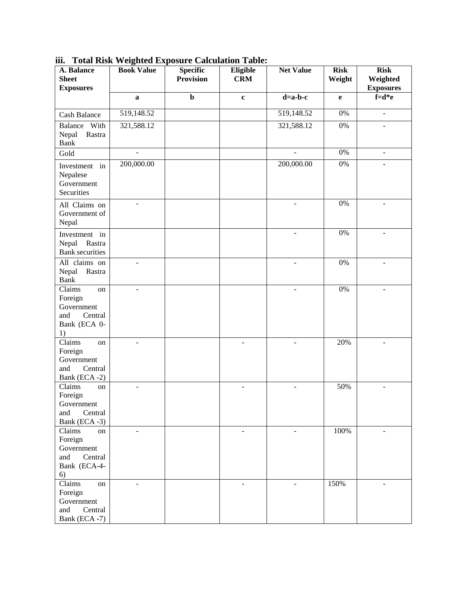| A. Balance<br><b>Sheet</b><br><b>Exposures</b>                                                    | <b>Book Value</b>        | <b>Specific</b><br><b>Provision</b> | Eligible<br><b>CRM</b> | <b>Net Value</b>         | <b>Risk</b><br>Weight | <b>Risk</b><br>Weighted<br><b>Exposures</b> |
|---------------------------------------------------------------------------------------------------|--------------------------|-------------------------------------|------------------------|--------------------------|-----------------------|---------------------------------------------|
|                                                                                                   | $\bf a$                  | $\mathbf b$                         | $\mathbf c$            | $d=a-b-c$                | e                     | $f=d*e$                                     |
| <b>Cash Balance</b>                                                                               | 519,148.52               |                                     |                        | 519,148.52               | $0\%$                 | $\overline{a}$                              |
| Balance With<br>Nepal<br>Rastra<br><b>Bank</b>                                                    | 321,588.12               |                                     |                        | 321,588.12               | $0\%$                 | $\blacksquare$                              |
| Gold                                                                                              | $\overline{\phantom{a}}$ |                                     |                        | $\overline{\phantom{a}}$ | 0%                    | $\overline{\phantom{a}}$                    |
| Investment in<br>Nepalese<br>Government<br>Securities                                             | 200,000.00               |                                     |                        | 200,000.00               | $0\%$                 |                                             |
| All Claims on<br>Government of<br>Nepal                                                           | $\overline{\phantom{a}}$ |                                     |                        | $\overline{\phantom{a}}$ | 0%                    | $\overline{\phantom{a}}$                    |
| Investment in<br>Nepal<br>Rastra<br><b>Bank</b> securities                                        |                          |                                     |                        |                          | 0%                    |                                             |
| All claims on<br>Nepal<br>Rastra<br>Bank                                                          | ÷.                       |                                     |                        | $\blacksquare$           | 0%                    | $\blacksquare$                              |
| $\overline{\text{Clains}}$<br>on<br>Foreign<br>Government<br>and<br>Central<br>Bank (ECA 0-<br>1) | ÷                        |                                     |                        | ÷.                       | 0%                    | $\overline{\phantom{a}}$                    |
| Claims<br>on<br>Foreign<br>Government<br>Central<br>and<br>Bank (ECA -2)                          |                          |                                     |                        |                          | 20%                   |                                             |
| Claims<br>on<br>Foreign<br>Government<br>Central<br>and<br>Bank (ECA-3)                           | $\overline{a}$           |                                     | $\overline{a}$         | $\blacksquare$           | 50%                   | $\overline{\phantom{a}}$                    |
| Claims<br>on<br>Foreign<br>Government<br>and<br>Central<br>Bank (ECA-4-<br>6)                     |                          |                                     |                        |                          | 100%                  |                                             |
| Claims<br>on<br>Foreign<br>Government<br>and<br>Central<br>Bank (ECA -7)                          |                          |                                     |                        |                          | 150%                  |                                             |

**iii. Total Risk Weighted Exposure Calculation Table:**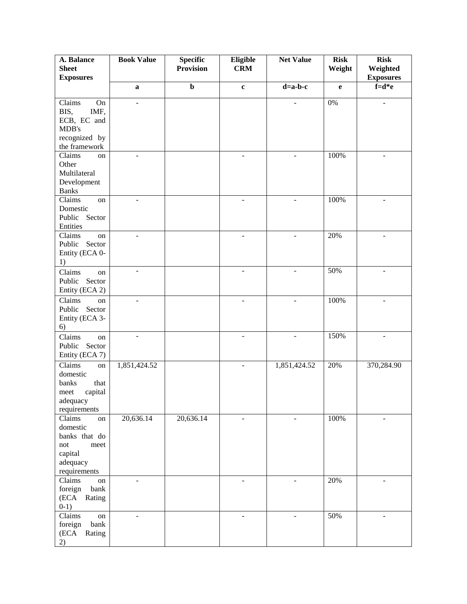| A. Balance                         | <b>Book Value</b>        | <b>Specific</b>  | Eligible                 | <b>Net Value</b>         | <b>Risk</b>  | <b>Risk</b>                  |
|------------------------------------|--------------------------|------------------|--------------------------|--------------------------|--------------|------------------------------|
| <b>Sheet</b><br><b>Exposures</b>   |                          | <b>Provision</b> | <b>CRM</b>               |                          | Weight       | Weighted<br><b>Exposures</b> |
|                                    | $\mathbf{a}$             | $\mathbf b$      | $\mathbf{c}$             | $d=a-b-c$                | $\mathbf{e}$ | $f=d*e$                      |
| Claims<br>On                       | ÷,                       |                  |                          |                          | 0%           | $\overline{\phantom{a}}$     |
| BIS,<br>IMF,                       |                          |                  |                          |                          |              |                              |
| ECB, EC and<br>MDB's               |                          |                  |                          |                          |              |                              |
| recognized by                      |                          |                  |                          |                          |              |                              |
| the framework                      |                          |                  |                          |                          |              |                              |
| Claims<br>on                       | $\overline{\phantom{0}}$ |                  |                          | $\overline{a}$           | 100%         | ÷                            |
| Other<br>Multilateral              |                          |                  |                          |                          |              |                              |
| Development                        |                          |                  |                          |                          |              |                              |
| <b>Banks</b>                       |                          |                  |                          |                          |              |                              |
| Claims<br>on                       | ÷,                       |                  |                          |                          | 100%         |                              |
| Domestic<br>Public Sector          |                          |                  |                          |                          |              |                              |
| Entities                           |                          |                  |                          |                          |              |                              |
| Claims<br>on                       | $\overline{\phantom{a}}$ |                  | $\blacksquare$           | $\blacksquare$           | 20%          | ÷                            |
| Public Sector                      |                          |                  |                          |                          |              |                              |
| Entity (ECA 0-<br>1)               |                          |                  |                          |                          |              |                              |
| Claims<br>on                       | $\blacksquare$           |                  | $\overline{\phantom{a}}$ | $\overline{\phantom{a}}$ | 50%          |                              |
| Public Sector                      |                          |                  |                          |                          |              |                              |
| Entity (ECA 2)                     |                          |                  |                          |                          |              |                              |
| Claims<br>on                       | $\overline{a}$           |                  | $\overline{a}$           | $\overline{a}$           | 100%         |                              |
| Public<br>Sector<br>Entity (ECA 3- |                          |                  |                          |                          |              |                              |
| 6)                                 |                          |                  |                          |                          |              |                              |
| Claims<br>on                       | $\overline{\phantom{a}}$ |                  | $\blacksquare$           | $\blacksquare$           | 150%         | ÷                            |
| Public<br>Sector                   |                          |                  |                          |                          |              |                              |
| Entity (ECA 7)                     |                          |                  |                          |                          |              |                              |
| Claims<br>on<br>domestic           | 1,851,424.52             |                  | $\blacksquare$           | 1,851,424.52             | 20%          | 370,284.90                   |
| that<br>banks                      |                          |                  |                          |                          |              |                              |
| capital<br>meet                    |                          |                  |                          |                          |              |                              |
| adequacy                           |                          |                  |                          |                          |              |                              |
| requirements<br>Claims<br>on       | 20,636.14                | 20,636.14        | $\overline{\phantom{a}}$ | $\blacksquare$           | 100%         | $\overline{\phantom{a}}$     |
| domestic                           |                          |                  |                          |                          |              |                              |
| banks that do                      |                          |                  |                          |                          |              |                              |
| not<br>meet                        |                          |                  |                          |                          |              |                              |
| capital<br>adequacy                |                          |                  |                          |                          |              |                              |
| requirements                       |                          |                  |                          |                          |              |                              |
| Claims<br>on                       | -                        |                  | $\overline{\phantom{m}}$ | L,                       | 20%          | $\overline{\phantom{0}}$     |
| foreign<br>bank                    |                          |                  |                          |                          |              |                              |
| (ECA Rating<br>$0-1)$              |                          |                  |                          |                          |              |                              |
| Claims<br>on                       | $\overline{a}$           |                  | $\overline{a}$           |                          | 50%          |                              |
| bank<br>foreign                    |                          |                  |                          |                          |              |                              |
| (ECA<br>Rating                     |                          |                  |                          |                          |              |                              |
| 2)                                 |                          |                  |                          |                          |              |                              |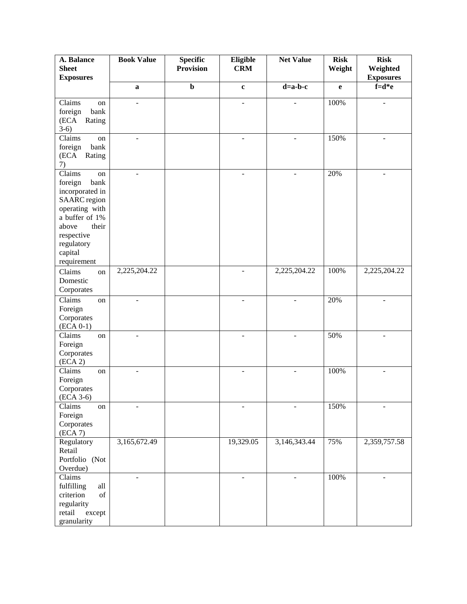| A. Balance<br><b>Sheet</b> | <b>Book Value</b>            | <b>Specific</b><br><b>Provision</b> | Eligible<br><b>CRM</b>   | <b>Net Value</b> | <b>Risk</b><br>Weight | <b>Risk</b><br>Weighted |
|----------------------------|------------------------------|-------------------------------------|--------------------------|------------------|-----------------------|-------------------------|
| <b>Exposures</b>           |                              |                                     |                          |                  |                       | <b>Exposures</b>        |
|                            | $\bf a$                      | $\mathbf b$                         | $\mathbf c$              | $d=a-b-c$        | $\mathbf e$           | $f=d*e$                 |
| Claims<br>on               | L.                           |                                     | ÷,                       |                  | 100%                  |                         |
| bank<br>foreign            |                              |                                     |                          |                  |                       |                         |
| (ECA<br>Rating             |                              |                                     |                          |                  |                       |                         |
| $3-6)$                     |                              |                                     |                          |                  |                       |                         |
| Claims<br>on               | $\overline{\phantom{a}}$     |                                     | $\overline{\phantom{a}}$ |                  | 150%                  |                         |
| bank<br>foreign            |                              |                                     |                          |                  |                       |                         |
| (ECA<br>Rating             |                              |                                     |                          |                  |                       |                         |
| 7)                         |                              |                                     |                          |                  |                       |                         |
| Claims<br>on               | ÷                            |                                     | $\overline{\phantom{a}}$ |                  | 20%                   |                         |
| foreign<br>bank            |                              |                                     |                          |                  |                       |                         |
| incorporated in            |                              |                                     |                          |                  |                       |                         |
| <b>SAARC</b> region        |                              |                                     |                          |                  |                       |                         |
| operating with             |                              |                                     |                          |                  |                       |                         |
| a buffer of 1%             |                              |                                     |                          |                  |                       |                         |
| their<br>above             |                              |                                     |                          |                  |                       |                         |
| respective                 |                              |                                     |                          |                  |                       |                         |
| regulatory                 |                              |                                     |                          |                  |                       |                         |
| capital                    |                              |                                     |                          |                  |                       |                         |
| requirement                |                              |                                     |                          |                  |                       |                         |
| Claims<br>$\,$ on $\,$     | 2,225,204.22                 |                                     | $\blacksquare$           | 2,225,204.22     | 100%                  | 2,225,204.22            |
| Domestic                   |                              |                                     |                          |                  |                       |                         |
| Corporates                 |                              |                                     |                          |                  |                       |                         |
| Claims<br>on               | $\overline{a}$               |                                     |                          |                  | 20%                   |                         |
| Foreign                    |                              |                                     |                          |                  |                       |                         |
| Corporates                 |                              |                                     |                          |                  |                       |                         |
| $(ECA 0-1)$                |                              |                                     |                          |                  |                       |                         |
| Claims<br>on               | $\qquad \qquad \blacksquare$ |                                     | $\blacksquare$           |                  | 50%                   |                         |
| Foreign                    |                              |                                     |                          |                  |                       |                         |
| Corporates                 |                              |                                     |                          |                  |                       |                         |
| (ECA 2)                    |                              |                                     |                          |                  |                       |                         |
| Claims<br>on               | $\overline{\phantom{0}}$     |                                     | $\overline{\phantom{0}}$ |                  | 100%                  |                         |
| Foreign                    |                              |                                     |                          |                  |                       |                         |
| Corporates                 |                              |                                     |                          |                  |                       |                         |
| $(ECA 3-6)$<br>Claims      |                              |                                     |                          |                  | 150%                  |                         |
| on<br>Foreign              |                              |                                     |                          |                  |                       |                         |
| Corporates                 |                              |                                     |                          |                  |                       |                         |
| (ECA 7)                    |                              |                                     |                          |                  |                       |                         |
| Regulatory                 | 3,165,672.49                 |                                     | 19,329.05                | 3,146,343.44     | 75%                   | 2,359,757.58            |
| Retail                     |                              |                                     |                          |                  |                       |                         |
| Portfolio (Not             |                              |                                     |                          |                  |                       |                         |
| Overdue)                   |                              |                                     |                          |                  |                       |                         |
| Claims                     | ÷,                           |                                     | $\overline{a}$           | ٠                | 100%                  |                         |
| fulfilling<br>all          |                              |                                     |                          |                  |                       |                         |
| criterion<br>of            |                              |                                     |                          |                  |                       |                         |
| regularity                 |                              |                                     |                          |                  |                       |                         |
| retail<br>except           |                              |                                     |                          |                  |                       |                         |
| granularity                |                              |                                     |                          |                  |                       |                         |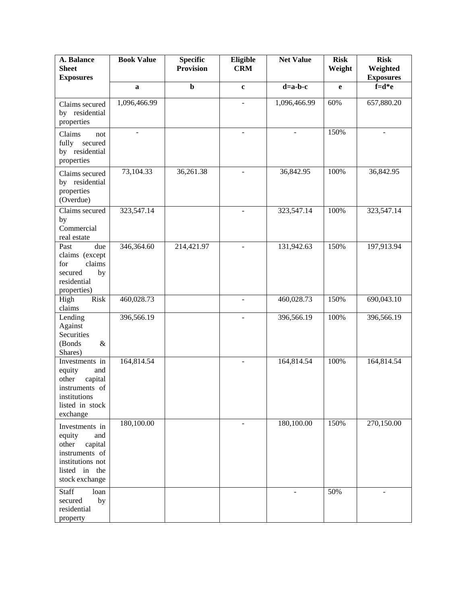| A. Balance<br><b>Sheet</b><br><b>Exposures</b>                                                                               | <b>Book Value</b> | <b>Specific</b><br><b>Provision</b> | Eligible<br><b>CRM</b>   | <b>Net Value</b> | <b>Risk</b><br>Weight | <b>Risk</b><br>Weighted<br><b>Exposures</b> |
|------------------------------------------------------------------------------------------------------------------------------|-------------------|-------------------------------------|--------------------------|------------------|-----------------------|---------------------------------------------|
|                                                                                                                              | $\mathbf a$       | $\mathbf b$                         | $\mathbf c$              | $d=a-b-c$        | e                     | $f=d*e$                                     |
| Claims secured<br>by residential<br>properties                                                                               | 1,096,466.99      |                                     | $\overline{a}$           | 1,096,466.99     | 60%                   | 657,880.20                                  |
| Claims<br>not<br>fully<br>secured<br>by residential<br>properties                                                            | ÷                 |                                     | $\blacksquare$           |                  | 150%                  |                                             |
| Claims secured<br>by residential<br>properties<br>(Overdue)                                                                  | 73,104.33         | 36,261.38                           | $\blacksquare$           | 36,842.95        | 100%                  | 36,842.95                                   |
| Claims secured<br>by<br>Commercial<br>real estate                                                                            | 323,547.14        |                                     | $\overline{\phantom{a}}$ | 323,547.14       | 100%                  | 323,547.14                                  |
| Past<br>due<br>claims (except<br>claims<br>for<br>secured<br>by<br>residential<br>properties)                                | 346,364.60        | 214,421.97                          | $\blacksquare$           | 131,942.63       | 150%                  | 197,913.94                                  |
| Risk<br>High<br>claims                                                                                                       | 460,028.73        |                                     |                          | 460,028.73       | 150%                  | 690,043.10                                  |
| Lending<br>Against<br>Securities<br>(Bonds<br>$\&$<br>Shares)                                                                | 396,566.19        |                                     | $\overline{a}$           | 396,566.19       | 100%                  | 396,566.19                                  |
| Investments in<br>equity<br>and<br>capital<br>other<br>instruments of<br>institutions<br>listed in stock<br>exchange         | 164,814.54        |                                     | $\sim$                   | 164,814.54       | 100%                  | 164,814.54                                  |
| Investments in<br>equity<br>and<br>other<br>capital<br>instruments of<br>institutions not<br>listed in the<br>stock exchange | 180,100.00        |                                     | ÷,                       | 180,100.00       | 150%                  | 270,150.00                                  |
| Staff<br>loan<br>secured<br>by<br>residential<br>property                                                                    |                   |                                     |                          |                  | 50%                   |                                             |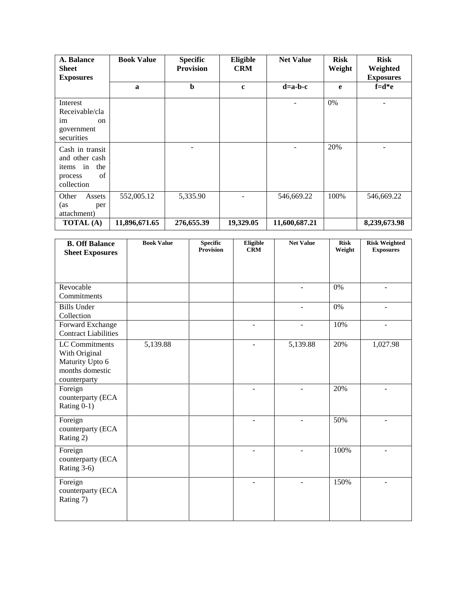| A. Balance<br><b>Sheet</b><br><b>Exposures</b>                                         | <b>Book Value</b> | <b>Specific</b><br><b>Provision</b> | Eligible<br><b>CRM</b> | <b>Net Value</b> | <b>Risk</b><br>Weight | <b>Risk</b><br>Weighted<br><b>Exposures</b> |
|----------------------------------------------------------------------------------------|-------------------|-------------------------------------|------------------------|------------------|-----------------------|---------------------------------------------|
|                                                                                        | a                 | $\mathbf b$                         | $\mathbf c$            | $d=a-b-c$        | e                     | $f=d*e$                                     |
| Interest<br>Receivable/cla<br>im<br>on<br>government<br>securities                     |                   |                                     |                        |                  | $0\%$                 |                                             |
| Cash in transit<br>and other cash<br>the<br>in<br>items<br>of<br>process<br>collection |                   |                                     |                        |                  | 20%                   |                                             |
| Other<br>Assets<br>(as<br>per<br>attachment)                                           | 552,005.12        | 5,335.90                            |                        | 546,669.22       | 100%                  | 546,669.22                                  |
| <b>TOTAL</b> (A)                                                                       | 11,896,671.65     | 276,655.39                          | 19,329.05              | 11,600,687.21    |                       | 8,239,673.98                                |

| <b>B. Off Balance</b>                                                                 | <b>Book Value</b> | <b>Specific</b><br><b>Provision</b> | Eligible<br><b>CRM</b>   | <b>Net Value</b> | <b>Risk</b><br>Weight | <b>Risk Weighted</b><br><b>Exposures</b> |
|---------------------------------------------------------------------------------------|-------------------|-------------------------------------|--------------------------|------------------|-----------------------|------------------------------------------|
| <b>Sheet Exposures</b>                                                                |                   |                                     |                          |                  |                       |                                          |
|                                                                                       |                   |                                     |                          |                  |                       |                                          |
| Revocable<br>Commitments                                                              |                   |                                     |                          |                  | 0%                    |                                          |
| <b>Bills Under</b><br>Collection                                                      |                   |                                     |                          | $\blacksquare$   | 0%                    | $\overline{\phantom{a}}$                 |
| Forward Exchange<br><b>Contract Liabilities</b>                                       |                   |                                     | $\overline{a}$           | $\overline{a}$   | 10%                   | $\overline{a}$                           |
| LC Commitments<br>With Original<br>Maturity Upto 6<br>months domestic<br>counterparty | 5,139.88          |                                     | $\overline{\phantom{a}}$ | 5,139.88         | 20%                   | 1,027.98                                 |
| Foreign<br>counterparty (ECA<br>Rating 0-1)                                           |                   |                                     |                          |                  | 20%                   |                                          |
| Foreign<br>counterparty (ECA<br>Rating 2)                                             |                   |                                     | $\overline{a}$           | ٠                | 50%                   | $\blacksquare$                           |
| Foreign<br>counterparty (ECA<br>Rating 3-6)                                           |                   |                                     | $\overline{\phantom{a}}$ | $\overline{a}$   | 100%                  | ÷.                                       |
| Foreign<br>counterparty (ECA<br>Rating 7)                                             |                   |                                     |                          |                  | 150%                  |                                          |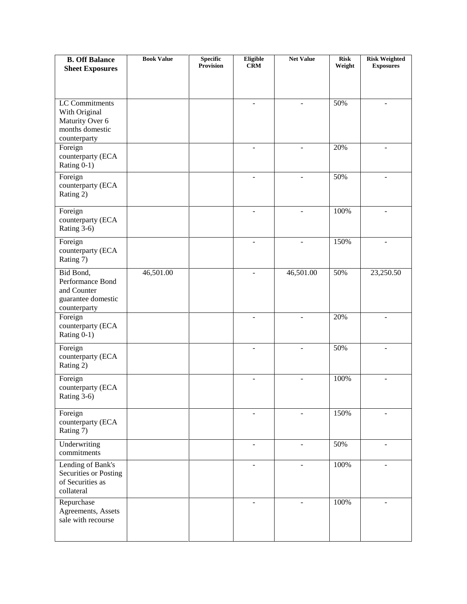| <b>B. Off Balance</b>                                                              | <b>Book Value</b> | <b>Specific</b><br><b>Provision</b> | Eligible<br><b>CRM</b>   | <b>Net Value</b> | <b>Risk</b><br>Weight | <b>Risk Weighted</b><br><b>Exposures</b> |
|------------------------------------------------------------------------------------|-------------------|-------------------------------------|--------------------------|------------------|-----------------------|------------------------------------------|
| <b>Sheet Exposures</b>                                                             |                   |                                     |                          |                  |                       |                                          |
|                                                                                    |                   |                                     |                          |                  |                       |                                          |
| LC Commitments<br>With Original                                                    |                   |                                     | $\omega$                 | $\blacksquare$   | 50%                   | $\blacksquare$                           |
| Maturity Over 6<br>months domestic                                                 |                   |                                     |                          |                  |                       |                                          |
| counterparty<br>Foreign                                                            |                   |                                     |                          |                  | 20%                   |                                          |
| counterparty (ECA<br>Rating 0-1)                                                   |                   |                                     |                          |                  |                       |                                          |
| Foreign<br>counterparty (ECA<br>Rating 2)                                          |                   |                                     |                          |                  | 50%                   |                                          |
| Foreign<br>counterparty (ECA<br>Rating 3-6)                                        |                   |                                     |                          |                  | 100%                  |                                          |
| Foreign<br>counterparty (ECA<br>Rating 7)                                          |                   |                                     |                          |                  | 150%                  |                                          |
| Bid Bond,<br>Performance Bond<br>and Counter<br>guarantee domestic<br>counterparty | 46,501.00         |                                     |                          | 46,501.00        | 50%                   | 23,250.50                                |
| Foreign<br>counterparty (ECA<br>Rating 0-1)                                        |                   |                                     | $\overline{\phantom{a}}$ |                  | 20%                   | $\overline{\phantom{0}}$                 |
| Foreign<br>counterparty (ECA<br>Rating 2)                                          |                   |                                     |                          |                  | 50%                   |                                          |
| Foreign<br>counterparty (ECA<br>Rating 3-6)                                        |                   |                                     |                          |                  | 100%                  |                                          |
| Foreign<br>counterparty (ECA<br>Rating 7)                                          |                   |                                     | $\overline{\phantom{a}}$ |                  | 150%                  | $\overline{\phantom{0}}$                 |
| Underwriting<br>commitments                                                        |                   |                                     | $\blacksquare$           | $\blacksquare$   | 50%                   | $\blacksquare$                           |
| Lending of Bank's<br>Securities or Posting<br>of Securities as<br>collateral       |                   |                                     | $\sim$                   | $\blacksquare$   | 100%                  | $\blacksquare$                           |
| Repurchase<br>Agreements, Assets<br>sale with recourse                             |                   |                                     |                          |                  | 100%                  | ÷,                                       |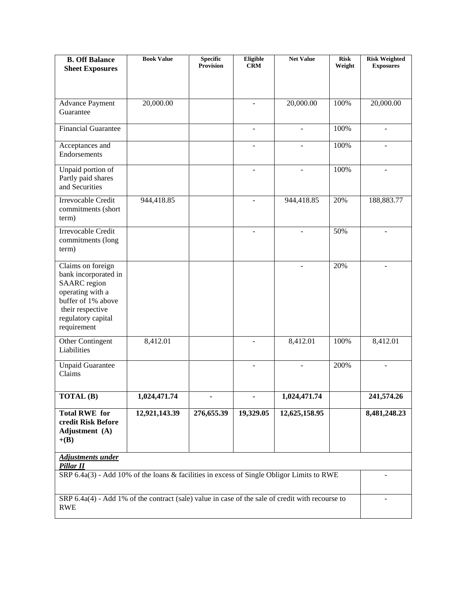| <b>B. Off Balance</b><br><b>Sheet Exposures</b>                                                                                                                     | <b>Book Value</b> | <b>Specific</b><br>Provision | Eligible<br><b>CRM</b> | <b>Net Value</b> | <b>Risk</b><br>Weight | <b>Risk Weighted</b><br><b>Exposures</b> |
|---------------------------------------------------------------------------------------------------------------------------------------------------------------------|-------------------|------------------------------|------------------------|------------------|-----------------------|------------------------------------------|
|                                                                                                                                                                     |                   |                              |                        |                  |                       |                                          |
| <b>Advance Payment</b><br>Guarantee                                                                                                                                 | 20,000.00         |                              |                        | 20,000.00        | 100%                  | 20,000.00                                |
| <b>Financial Guarantee</b>                                                                                                                                          |                   |                              | $\blacksquare$         |                  | 100%                  | $\blacksquare$                           |
| Acceptances and<br>Endorsements                                                                                                                                     |                   |                              |                        |                  | 100%                  |                                          |
| Unpaid portion of<br>Partly paid shares<br>and Securities                                                                                                           |                   |                              | $\blacksquare$         |                  | 100%                  | $\blacksquare$                           |
| Irrevocable Credit<br>commitments (short<br>term)                                                                                                                   | 944,418.85        |                              |                        | 944,418.85       | 20%                   | 188,883.77                               |
| Irrevocable Credit<br>commitments (long<br>term)                                                                                                                    |                   |                              |                        |                  | 50%                   |                                          |
| Claims on foreign<br>bank incorporated in<br><b>SAARC</b> region<br>operating with a<br>buffer of 1% above<br>their respective<br>regulatory capital<br>requirement |                   |                              |                        |                  | 20%                   | $\blacksquare$                           |
| Other Contingent<br>Liabilities                                                                                                                                     | 8,412.01          |                              |                        | 8,412.01         | 100%                  | 8,412.01                                 |
| <b>Unpaid Guarantee</b><br>Claims                                                                                                                                   |                   |                              |                        |                  | 200%                  |                                          |
| $\overline{\text{TOTAL }(B)}$                                                                                                                                       | 1,024,471.74      |                              |                        | 1,024,471.74     |                       | 241,574.26                               |
| <b>Total RWE</b> for<br>credit Risk Before<br>Adjustment (A)<br>$+(B)$                                                                                              | 12,921,143.39     | 276,655.39                   | 19,329.05              | 12,625,158.95    |                       | 8,481,248.23                             |
| <b>Adjustments under</b><br>Pillar II                                                                                                                               |                   |                              |                        |                  |                       |                                          |
| SRP 6.4a(3) - Add 10% of the loans & facilities in excess of Single Obligor Limits to RWE                                                                           |                   |                              |                        |                  |                       |                                          |
| SRP 6.4a(4) - Add 1% of the contract (sale) value in case of the sale of credit with recourse to<br><b>RWE</b>                                                      |                   |                              |                        |                  |                       |                                          |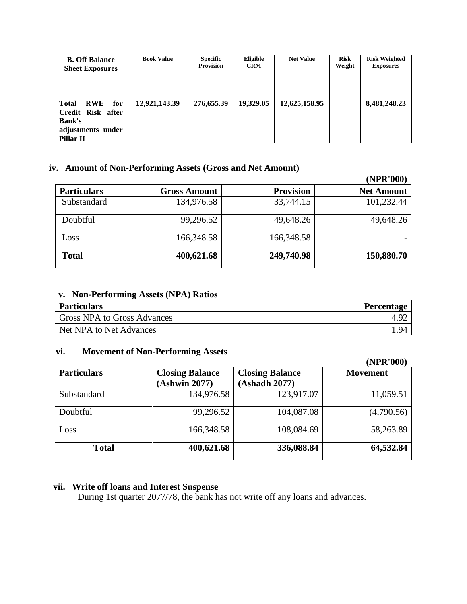| <b>B. Off Balance</b><br><b>Sheet Exposures</b>                                                           | <b>Book Value</b> | <b>Specific</b><br><b>Provision</b> | Eligible<br><b>CRM</b> | <b>Net Value</b> | <b>Risk</b><br>Weight | <b>Risk Weighted</b><br><b>Exposures</b> |
|-----------------------------------------------------------------------------------------------------------|-------------------|-------------------------------------|------------------------|------------------|-----------------------|------------------------------------------|
| <b>Total</b><br>for<br><b>RWE</b><br>Credit Risk after<br><b>Bank's</b><br>adjustments under<br>Pillar II | 12,921,143.39     | 276,655.39                          | 19,329.05              | 12,625,158.95    |                       | 8,481,248.23                             |

#### **iv. Amount of Non-Performing Assets (Gross and Net Amount)**

|                    |                     |                  | (NPR'000)         |
|--------------------|---------------------|------------------|-------------------|
| <b>Particulars</b> | <b>Gross Amount</b> | <b>Provision</b> | <b>Net Amount</b> |
| Substandard        | 134,976.58          | 33,744.15        | 101,232.44        |
| Doubtful           | 99,296.52           | 49,648.26        | 49,648.26         |
| Loss               | 166,348.58          | 166,348.58       |                   |
| <b>Total</b>       | 400,621.68          | 249,740.98       | 150,880.70        |

## **v. Non-Performing Assets (NPA) Ratios**

| <b>Particulars</b>          | <b>Percentage</b> |
|-----------------------------|-------------------|
| Gross NPA to Gross Advances |                   |
| Net NPA to Net Advances     | .94               |

## **vi. Movement of Non-Performing Assets**

|                    |                                         |                                         | (NPR'000)       |
|--------------------|-----------------------------------------|-----------------------------------------|-----------------|
| <b>Particulars</b> | <b>Closing Balance</b><br>(Ashwin 2077) | <b>Closing Balance</b><br>(Ashadh 2077) | <b>Movement</b> |
| Substandard        | 134,976.58                              | 123,917.07                              | 11,059.51       |
| Doubtful           | 99,296.52                               | 104,087.08                              | (4,790.56)      |
| Loss               | 166,348.58                              | 108,084.69                              | 58,263.89       |
| <b>Total</b>       | 400,621.68                              | 336,088.84                              | 64,532.84       |

## **vii. Write off loans and Interest Suspense**

During 1st quarter 2077/78, the bank has not write off any loans and advances.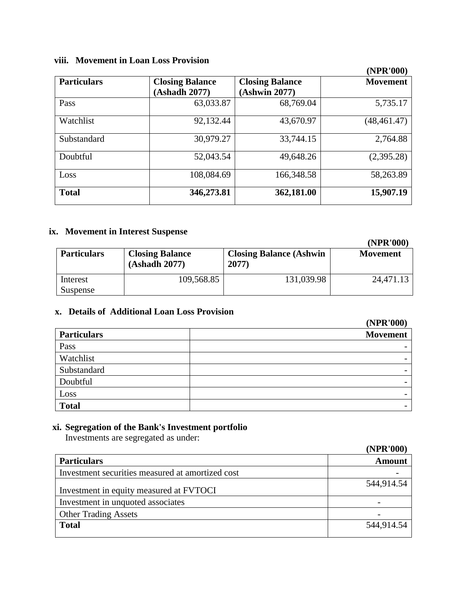### **viii. Movement in Loan Loss Provision**

|                    |                                         |                                         | (IVEIN VVV)     |
|--------------------|-----------------------------------------|-----------------------------------------|-----------------|
| <b>Particulars</b> | <b>Closing Balance</b><br>(Ashadh 2077) | <b>Closing Balance</b><br>(Ashwin 2077) | <b>Movement</b> |
| Pass               | 63,033.87                               | 68,769.04                               | 5,735.17        |
| Watchlist          | 92,132.44                               | 43,670.97                               | (48, 461.47)    |
| Substandard        | 30,979.27                               | 33,744.15                               | 2,764.88        |
| Doubtful           | 52,043.54                               | 49,648.26                               | (2,395.28)      |
| Loss               | 108,084.69                              | 166,348.58                              | 58,263.89       |
| <b>Total</b>       | 346,273.81                              | 362,181.00                              | 15,907.19       |

## **ix. Movement in Interest Suspense**

|                      |                                         |                                           | (NPR'000)       |
|----------------------|-----------------------------------------|-------------------------------------------|-----------------|
| <b>Particulars</b>   | <b>Closing Balance</b><br>(Ashadh 2077) | <b>Closing Balance (Ashwin</b> )<br>2077) | <b>Movement</b> |
| Interest<br>Suspense | 109,568.85                              | 131,039.98                                | 24,471.13       |

## **x. Details of Additional Loan Loss Provision**

|                    | (NPK'000)                |
|--------------------|--------------------------|
| <b>Particulars</b> | <b>Movement</b>          |
| Pass               | $\overline{\phantom{0}}$ |
| Watchlist          | $\overline{\phantom{0}}$ |
| Substandard        | $\overline{\phantom{0}}$ |
| Doubtful           | $\overline{\phantom{0}}$ |
| Loss               | -                        |
| <b>Total</b>       | $\overline{\phantom{0}}$ |

## **xi. Segregation of the Bank's Investment portfolio**

Investments are segregated as under:

|                                                  | (NPR'000)     |
|--------------------------------------------------|---------------|
| <b>Particulars</b>                               | <b>Amount</b> |
| Investment securities measured at amortized cost |               |
| Investment in equity measured at FVTOCI          | 544,914.54    |
| Investment in unquoted associates                |               |
| <b>Other Trading Assets</b>                      |               |
| <b>Total</b>                                     | 544,914.54    |

# **(NPR'000)**

**(NPR'000)**